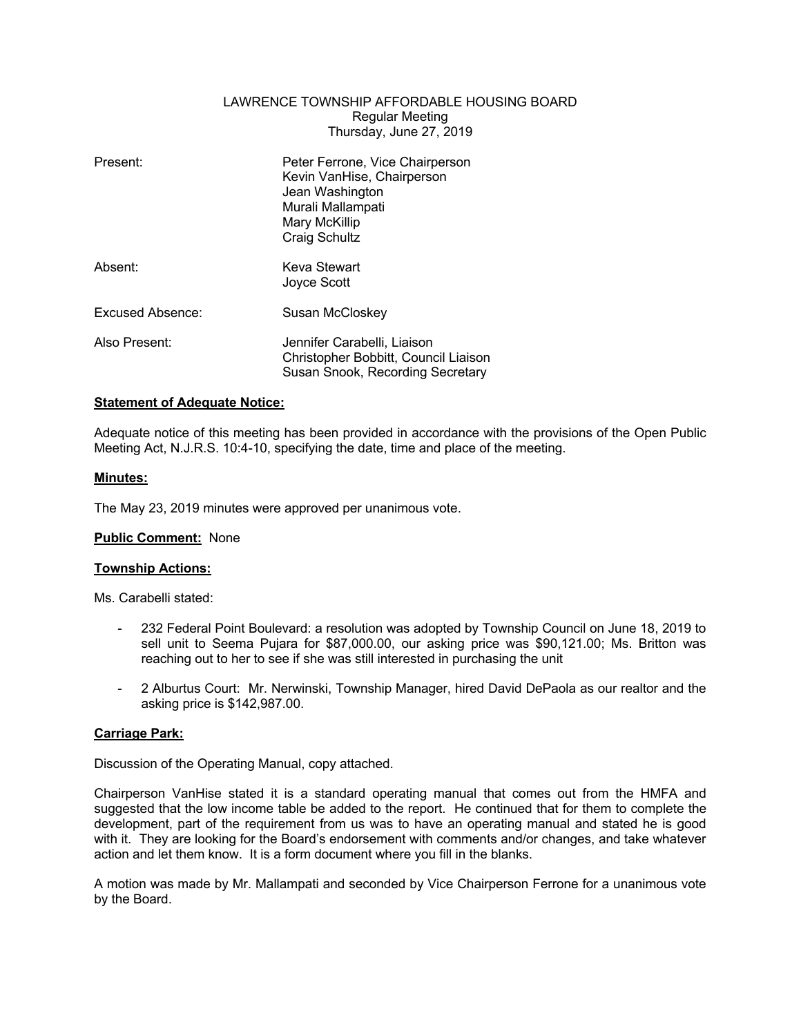## LAWRENCE TOWNSHIP AFFORDABLE HOUSING BOARD Regular Meeting Thursday, June 27, 2019

| Present:         | Peter Ferrone, Vice Chairperson<br>Kevin VanHise, Chairperson<br>Jean Washington<br>Murali Mallampati<br>Mary McKillip<br>Craig Schultz |
|------------------|-----------------------------------------------------------------------------------------------------------------------------------------|
| Absent:          | Keva Stewart<br>Joyce Scott                                                                                                             |
| Excused Absence: | Susan McCloskey                                                                                                                         |
| Also Present:    | Jennifer Carabelli, Liaison<br>Christopher Bobbitt, Council Liaison<br>Susan Snook, Recording Secretary                                 |

## **Statement of Adequate Notice:**

Adequate notice of this meeting has been provided in accordance with the provisions of the Open Public Meeting Act, N.J.R.S. 10:4-10, specifying the date, time and place of the meeting.

### **Minutes:**

The May 23, 2019 minutes were approved per unanimous vote.

## **Public Comment:** None

#### **Township Actions:**

Ms. Carabelli stated:

- 232 Federal Point Boulevard: a resolution was adopted by Township Council on June 18, 2019 to sell unit to Seema Pujara for \$87,000.00, our asking price was \$90,121.00; Ms. Britton was reaching out to her to see if she was still interested in purchasing the unit
- 2 Alburtus Court: Mr. Nerwinski, Township Manager, hired David DePaola as our realtor and the asking price is \$142,987.00.

### **Carriage Park:**

Discussion of the Operating Manual, copy attached.

Chairperson VanHise stated it is a standard operating manual that comes out from the HMFA and suggested that the low income table be added to the report. He continued that for them to complete the development, part of the requirement from us was to have an operating manual and stated he is good with it. They are looking for the Board's endorsement with comments and/or changes, and take whatever action and let them know. It is a form document where you fill in the blanks.

A motion was made by Mr. Mallampati and seconded by Vice Chairperson Ferrone for a unanimous vote by the Board.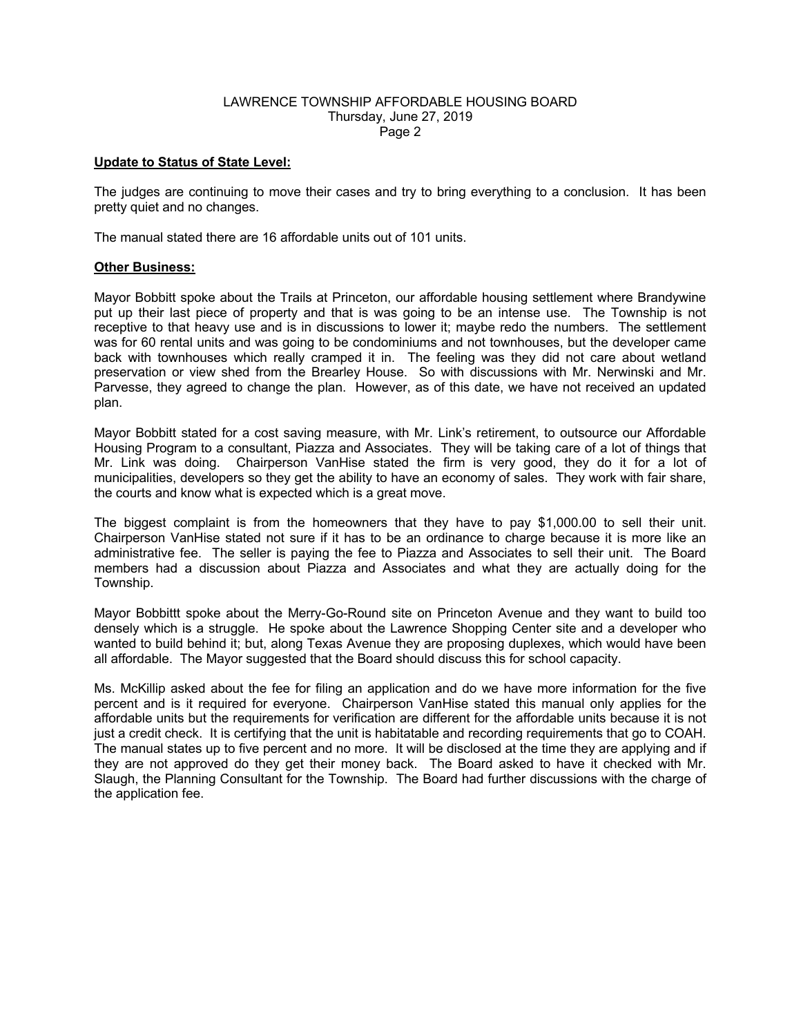### LAWRENCE TOWNSHIP AFFORDABLE HOUSING BOARD Thursday, June 27, 2019 Page 2

## **Update to Status of State Level:**

The judges are continuing to move their cases and try to bring everything to a conclusion. It has been pretty quiet and no changes.

The manual stated there are 16 affordable units out of 101 units.

## **Other Business:**

Mayor Bobbitt spoke about the Trails at Princeton, our affordable housing settlement where Brandywine put up their last piece of property and that is was going to be an intense use. The Township is not receptive to that heavy use and is in discussions to lower it; maybe redo the numbers. The settlement was for 60 rental units and was going to be condominiums and not townhouses, but the developer came back with townhouses which really cramped it in. The feeling was they did not care about wetland preservation or view shed from the Brearley House. So with discussions with Mr. Nerwinski and Mr. Parvesse, they agreed to change the plan. However, as of this date, we have not received an updated plan.

Mayor Bobbitt stated for a cost saving measure, with Mr. Link's retirement, to outsource our Affordable Housing Program to a consultant, Piazza and Associates. They will be taking care of a lot of things that Mr. Link was doing. Chairperson VanHise stated the firm is very good, they do it for a lot of municipalities, developers so they get the ability to have an economy of sales. They work with fair share, the courts and know what is expected which is a great move.

The biggest complaint is from the homeowners that they have to pay \$1,000.00 to sell their unit. Chairperson VanHise stated not sure if it has to be an ordinance to charge because it is more like an administrative fee. The seller is paying the fee to Piazza and Associates to sell their unit. The Board members had a discussion about Piazza and Associates and what they are actually doing for the Township.

Mayor Bobbittt spoke about the Merry-Go-Round site on Princeton Avenue and they want to build too densely which is a struggle. He spoke about the Lawrence Shopping Center site and a developer who wanted to build behind it; but, along Texas Avenue they are proposing duplexes, which would have been all affordable. The Mayor suggested that the Board should discuss this for school capacity.

Ms. McKillip asked about the fee for filing an application and do we have more information for the five percent and is it required for everyone. Chairperson VanHise stated this manual only applies for the affordable units but the requirements for verification are different for the affordable units because it is not just a credit check. It is certifying that the unit is habitatable and recording requirements that go to COAH. The manual states up to five percent and no more. It will be disclosed at the time they are applying and if they are not approved do they get their money back. The Board asked to have it checked with Mr. Slaugh, the Planning Consultant for the Township. The Board had further discussions with the charge of the application fee.